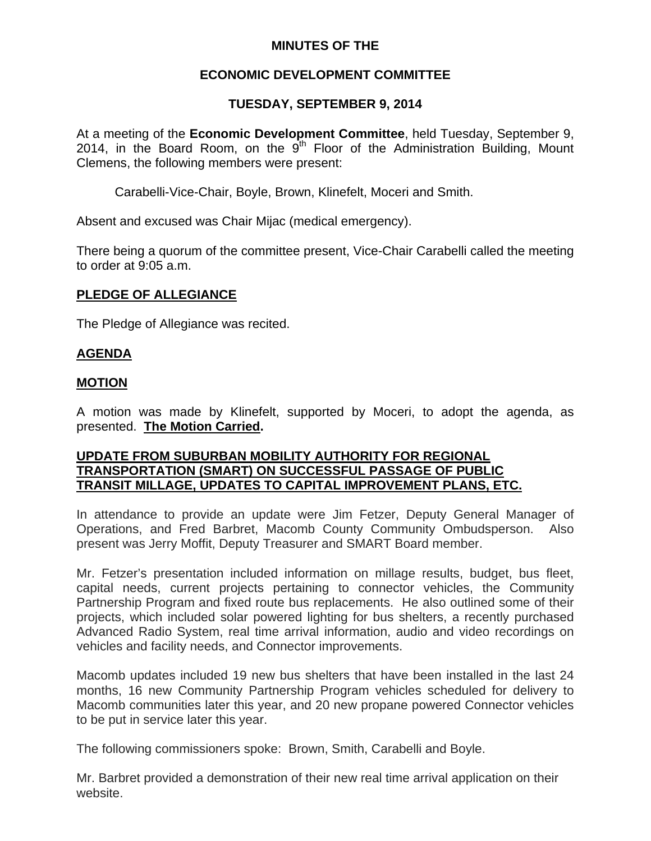## **MINUTES OF THE**

# **ECONOMIC DEVELOPMENT COMMITTEE**

# **TUESDAY, SEPTEMBER 9, 2014**

At a meeting of the **Economic Development Committee**, held Tuesday, September 9, 2014, in the Board Room, on the  $9<sup>th</sup>$  Floor of the Administration Building, Mount Clemens, the following members were present:

Carabelli-Vice-Chair, Boyle, Brown, Klinefelt, Moceri and Smith.

Absent and excused was Chair Mijac (medical emergency).

There being a quorum of the committee present, Vice-Chair Carabelli called the meeting to order at 9:05 a.m.

## **PLEDGE OF ALLEGIANCE**

The Pledge of Allegiance was recited.

## **AGENDA**

### **MOTION**

A motion was made by Klinefelt, supported by Moceri, to adopt the agenda, as presented. **The Motion Carried.** 

### **UPDATE FROM SUBURBAN MOBILITY AUTHORITY FOR REGIONAL TRANSPORTATION (SMART) ON SUCCESSFUL PASSAGE OF PUBLIC TRANSIT MILLAGE, UPDATES TO CAPITAL IMPROVEMENT PLANS, ETC.**

In attendance to provide an update were Jim Fetzer, Deputy General Manager of Operations, and Fred Barbret, Macomb County Community Ombudsperson. Also present was Jerry Moffit, Deputy Treasurer and SMART Board member.

Mr. Fetzer's presentation included information on millage results, budget, bus fleet, capital needs, current projects pertaining to connector vehicles, the Community Partnership Program and fixed route bus replacements. He also outlined some of their projects, which included solar powered lighting for bus shelters, a recently purchased Advanced Radio System, real time arrival information, audio and video recordings on vehicles and facility needs, and Connector improvements.

Macomb updates included 19 new bus shelters that have been installed in the last 24 months, 16 new Community Partnership Program vehicles scheduled for delivery to Macomb communities later this year, and 20 new propane powered Connector vehicles to be put in service later this year.

The following commissioners spoke: Brown, Smith, Carabelli and Boyle.

Mr. Barbret provided a demonstration of their new real time arrival application on their website.